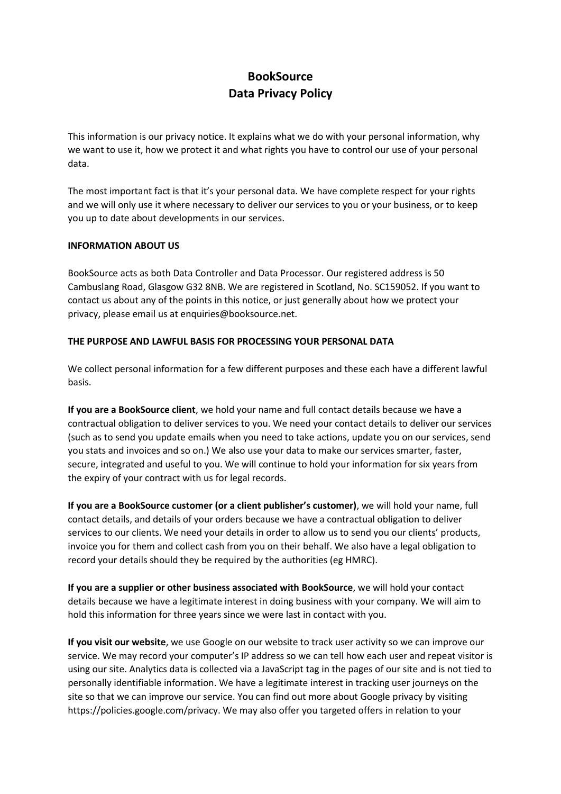# **BookSource Data Privacy Policy**

This information is our privacy notice. It explains what we do with your personal information, why we want to use it, how we protect it and what rights you have to control our use of your personal data.

The most important fact is that it's your personal data. We have complete respect for your rights and we will only use it where necessary to deliver our services to you or your business, or to keep you up to date about developments in our services.

## **INFORMATION ABOUT US**

BookSource acts as both Data Controller and Data Processor. Our registered address is 50 Cambuslang Road, Glasgow G32 8NB. We are registered in Scotland, No. SC159052. If you want to contact us about any of the points in this notice, or just generally about how we protect your privacy, please email us at enquiries@booksource.net.

## **THE PURPOSE AND LAWFUL BASIS FOR PROCESSING YOUR PERSONAL DATA**

We collect personal information for a few different purposes and these each have a different lawful basis.

**If you are a BookSource client**, we hold your name and full contact details because we have a contractual obligation to deliver services to you. We need your contact details to deliver our services (such as to send you update emails when you need to take actions, update you on our services, send you stats and invoices and so on.) We also use your data to make our services smarter, faster, secure, integrated and useful to you. We will continue to hold your information for six years from the expiry of your contract with us for legal records.

**If you are a BookSource customer (or a client publisher's customer)**, we will hold your name, full contact details, and details of your orders because we have a contractual obligation to deliver services to our clients. We need your details in order to allow us to send you our clients' products, invoice you for them and collect cash from you on their behalf. We also have a legal obligation to record your details should they be required by the authorities (eg HMRC).

**If you are a supplier or other business associated with BookSource**, we will hold your contact details because we have a legitimate interest in doing business with your company. We will aim to hold this information for three years since we were last in contact with you.

**If you visit our website**, we use Google on our website to track user activity so we can improve our service. We may record your computer's IP address so we can tell how each user and repeat visitor is using our site. Analytics data is collected via a JavaScript tag in the pages of our site and is not tied to personally identifiable information. We have a legitimate interest in tracking user journeys on the site so that we can improve our service. You can find out more about Google privacy by visiting https://policies.google.com/privacy. We may also offer you targeted offers in relation to your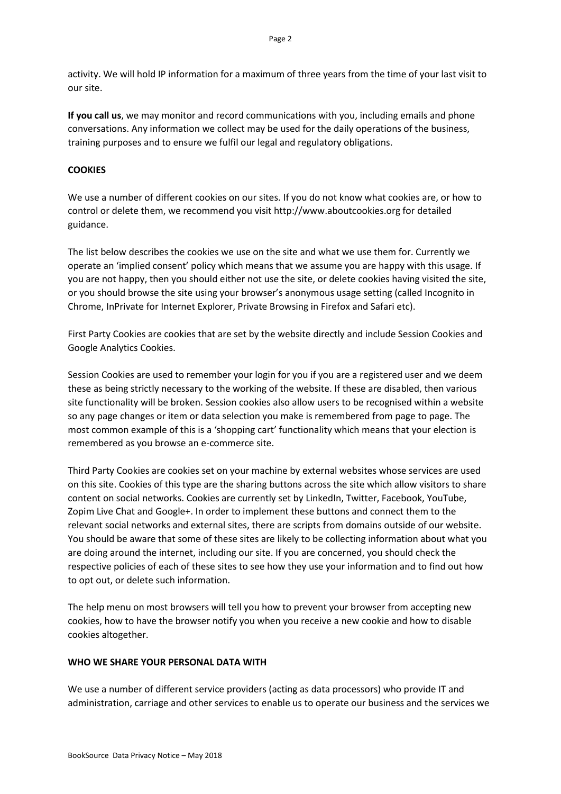activity. We will hold IP information for a maximum of three years from the time of your last visit to our site.

**If you call us**, we may monitor and record communications with you, including emails and phone conversations. Any information we collect may be used for the daily operations of the business, training purposes and to ensure we fulfil our legal and regulatory obligations.

## **COOKIES**

We use a number of different cookies on our sites. If you do not know what cookies are, or how to control or delete them, we recommend you visit http://www.aboutcookies.org for detailed guidance.

The list below describes the cookies we use on the site and what we use them for. Currently we operate an 'implied consent' policy which means that we assume you are happy with this usage. If you are not happy, then you should either not use the site, or delete cookies having visited the site, or you should browse the site using your browser's anonymous usage setting (called Incognito in Chrome, InPrivate for Internet Explorer, Private Browsing in Firefox and Safari etc).

First Party Cookies are cookies that are set by the website directly and include Session Cookies and Google Analytics Cookies.

Session Cookies are used to remember your login for you if you are a registered user and we deem these as being strictly necessary to the working of the website. If these are disabled, then various site functionality will be broken. Session cookies also allow users to be recognised within a website so any page changes or item or data selection you make is remembered from page to page. The most common example of this is a 'shopping cart' functionality which means that your election is remembered as you browse an e-commerce site.

Third Party Cookies are cookies set on your machine by external websites whose services are used on this site. Cookies of this type are the sharing buttons across the site which allow visitors to share content on social networks. Cookies are currently set by LinkedIn, Twitter, Facebook, YouTube, Zopim Live Chat and Google+. In order to implement these buttons and connect them to the relevant social networks and external sites, there are scripts from domains outside of our website. You should be aware that some of these sites are likely to be collecting information about what you are doing around the internet, including our site. If you are concerned, you should check the respective policies of each of these sites to see how they use your information and to find out how to opt out, or delete such information.

The help menu on most browsers will tell you how to prevent your browser from accepting new cookies, how to have the browser notify you when you receive a new cookie and how to disable cookies altogether.

### **WHO WE SHARE YOUR PERSONAL DATA WITH**

We use a number of different service providers (acting as data processors) who provide IT and administration, carriage and other services to enable us to operate our business and the services we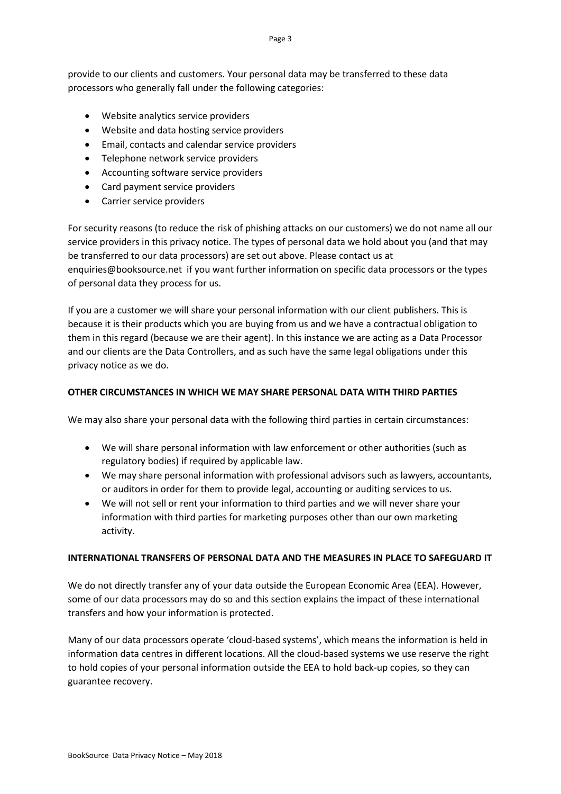provide to our clients and customers. Your personal data may be transferred to these data processors who generally fall under the following categories:

- Website analytics service providers
- Website and data hosting service providers
- Email, contacts and calendar service providers
- Telephone network service providers
- Accounting software service providers
- Card payment service providers
- Carrier service providers

For security reasons (to reduce the risk of phishing attacks on our customers) we do not name all our service providers in this privacy notice. The types of personal data we hold about you (and that may be transferred to our data processors) are set out above. Please contact us at enquiries@booksource.net if you want further information on specific data processors or the types of personal data they process for us.

If you are a customer we will share your personal information with our client publishers. This is because it is their products which you are buying from us and we have a contractual obligation to them in this regard (because we are their agent). In this instance we are acting as a Data Processor and our clients are the Data Controllers, and as such have the same legal obligations under this privacy notice as we do.

## **OTHER CIRCUMSTANCES IN WHICH WE MAY SHARE PERSONAL DATA WITH THIRD PARTIES**

We may also share your personal data with the following third parties in certain circumstances:

- We will share personal information with law enforcement or other authorities (such as regulatory bodies) if required by applicable law.
- We may share personal information with professional advisors such as lawyers, accountants, or auditors in order for them to provide legal, accounting or auditing services to us.
- We will not sell or rent your information to third parties and we will never share your information with third parties for marketing purposes other than our own marketing activity.

### **INTERNATIONAL TRANSFERS OF PERSONAL DATA AND THE MEASURES IN PLACE TO SAFEGUARD IT**

We do not directly transfer any of your data outside the European Economic Area (EEA). However, some of our data processors may do so and this section explains the impact of these international transfers and how your information is protected.

Many of our data processors operate 'cloud-based systems', which means the information is held in information data centres in different locations. All the cloud-based systems we use reserve the right to hold copies of your personal information outside the EEA to hold back-up copies, so they can guarantee recovery.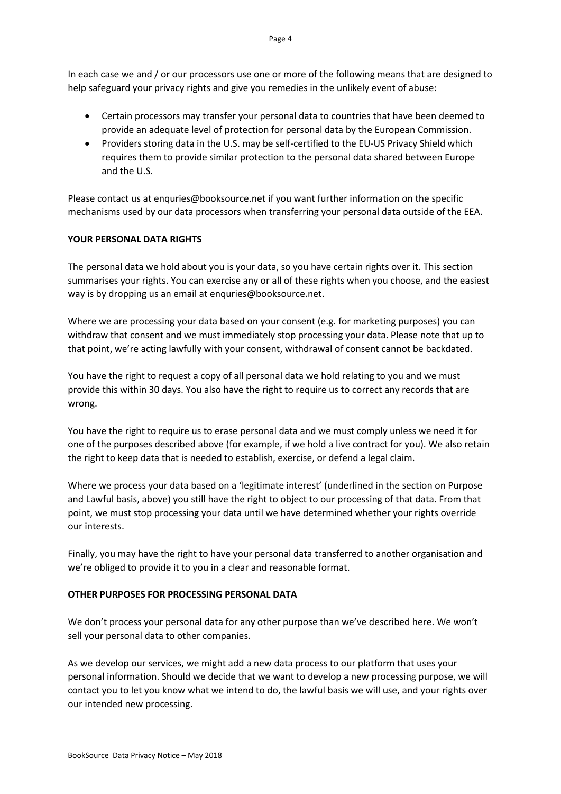In each case we and / or our processors use one or more of the following means that are designed to help safeguard your privacy rights and give you remedies in the unlikely event of abuse:

- Certain processors may transfer your personal data to countries that have been deemed to provide an adequate level of protection for personal data by the European Commission.
- Providers storing data in the U.S. may be self-certified to the EU-US Privacy Shield which requires them to provide similar protection to the personal data shared between Europe and the U.S.

Please contact us at enquries@booksource.net if you want further information on the specific mechanisms used by our data processors when transferring your personal data outside of the EEA.

## **YOUR PERSONAL DATA RIGHTS**

The personal data we hold about you is your data, so you have certain rights over it. This section summarises your rights. You can exercise any or all of these rights when you choose, and the easiest way is by dropping us an email at enquries@booksource.net.

Where we are processing your data based on your consent (e.g. for marketing purposes) you can withdraw that consent and we must immediately stop processing your data. Please note that up to that point, we're acting lawfully with your consent, withdrawal of consent cannot be backdated.

You have the right to request a copy of all personal data we hold relating to you and we must provide this within 30 days. You also have the right to require us to correct any records that are wrong.

You have the right to require us to erase personal data and we must comply unless we need it for one of the purposes described above (for example, if we hold a live contract for you). We also retain the right to keep data that is needed to establish, exercise, or defend a legal claim.

Where we process your data based on a 'legitimate interest' (underlined in the section on Purpose and Lawful basis, above) you still have the right to object to our processing of that data. From that point, we must stop processing your data until we have determined whether your rights override our interests.

Finally, you may have the right to have your personal data transferred to another organisation and we're obliged to provide it to you in a clear and reasonable format.

### **OTHER PURPOSES FOR PROCESSING PERSONAL DATA**

We don't process your personal data for any other purpose than we've described here. We won't sell your personal data to other companies.

As we develop our services, we might add a new data process to our platform that uses your personal information. Should we decide that we want to develop a new processing purpose, we will contact you to let you know what we intend to do, the lawful basis we will use, and your rights over our intended new processing.